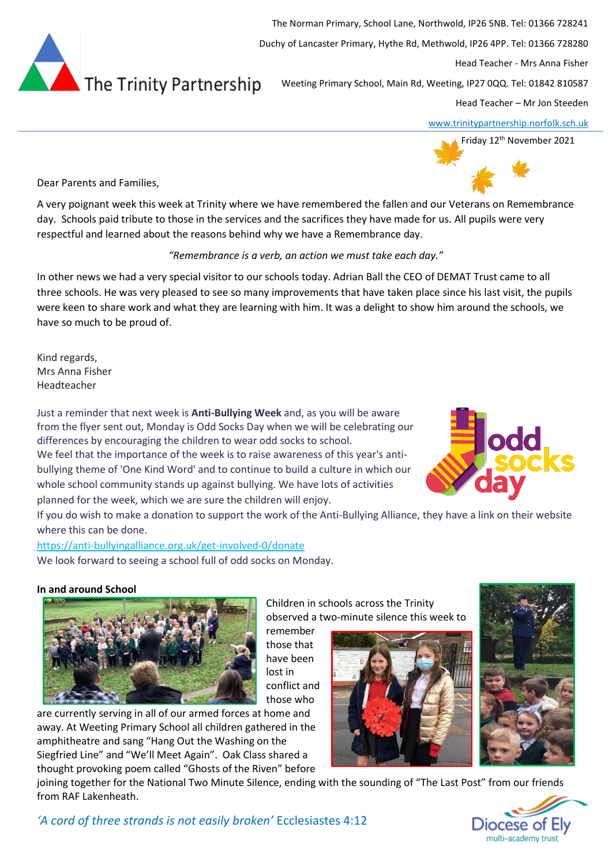

The Norman Primary, School Lane, Northwold, IP26 5NB. Tel: 01366 728241 Duchy of Lancaster Primary, Hythe Rd, Methwold, IP26 4PP. Tel: 01366 728280 Head Teacher - Mrs Anna Fisher Weeting Primary School, Main Rd, Weeting, IP27 0QQ. Tel: 01842 810587

Head Teacher – Mr Jon Steeden

[www.trinitypartnership.norfolk.sch.uk](http://www.trinitypartnership.norfolk.sch.uk/)



Dear Parents and Families,

A very poignant week this week at Trinity where we have remembered the fallen and our Veterans on Remembrance day. Schools paid tribute to those in the services and the sacrifices they have made for us. All pupils were very respectful and learned about the reasons behind why we have a Remembrance day.

# *"Remembrance is a verb, an action we must take each day."*

In other news we had a very special visitor to our schools today. Adrian Ball the CEO of DEMAT Trust came to all three schools. He was very pleased to see so many improvements that have taken place since his last visit, the pupils were keen to share work and what they are learning with him. It was a delight to show him around the schools, we have so much to be proud of.

Kind regards, Mrs Anna Fisher Headteacher

Just a reminder that next week is **Anti-Bullying Week** and, as you will be aware from the flyer sent out, Monday is Odd Socks Day when we will be celebrating our differences by encouraging the children to wear odd socks to school. We feel that the importance of the week is to raise awareness of this year's antibullying theme of 'One Kind Word' and to continue to build a culture in which our whole school community stands up against bullying. We have lots of activities planned for the week, which we are sure the children will enjoy.



If you do wish to make a donation to support the work of the Anti-Bullying Alliance, they have a link on their website where this can be done.

<https://anti-bullyingalliance.org.uk/get-involved-0/donate> We look forward to seeing a school full of odd socks on Monday.

## **In and around School**



remember those that have been lost in conflict and

those who

are currently serving in all of our armed forces at home and away. At Weeting Primary School all children gathered in the amphitheatre and sang "Hang Out the Washing on the Siegfried Line" and "We'll Meet Again". Oak Class shared a thought provoking poem called "Ghosts of the Riven" before

Children in schools across the Trinity observed a two-minute silence this week to





joining together for the National Two Minute Silence, ending with the sounding of "The Last Post" from our friends from RAF Lakenheath.

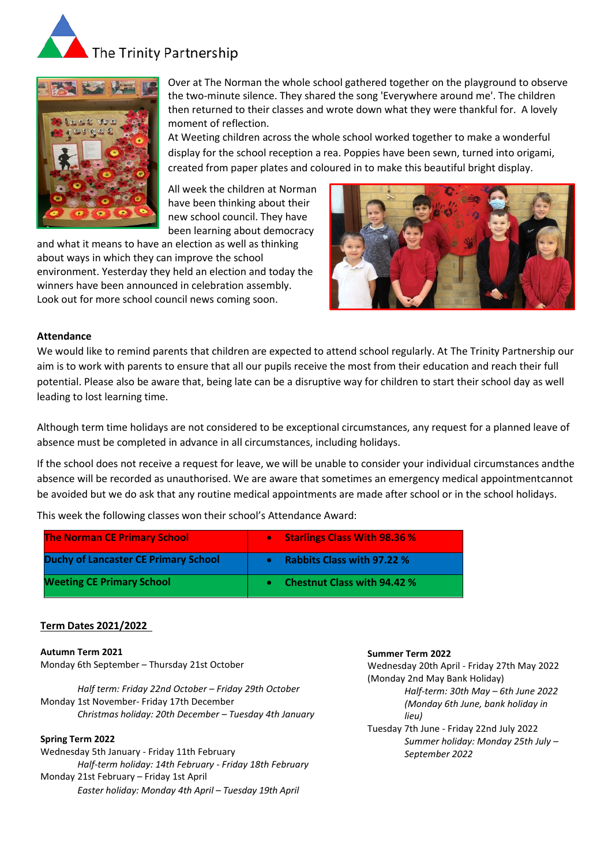



Over at The Norman the whole school gathered together on the playground to observe the two-minute silence. They shared the song 'Everywhere around me'. The children then returned to their classes and wrote down what they were thankful for. A lovely moment of reflection.

At Weeting children across the whole school worked together to make a wonderful display for the school reception a rea. Poppies have been sewn, turned into origami, created from paper plates and coloured in to make this beautiful bright display.

All week the children at Norman have been thinking about their new school council. They have been learning about democracy

and what it means to have an election as well as thinking about ways in which they can improve the school environment. Yesterday they held an election and today the winners have been announced in celebration assembly. Look out for more school council news coming soon.



### **Attendance**

We would like to remind parents that children are expected to attend school regularly. At The Trinity Partnership our aim is to work with parents to ensure that all our pupils receive the most from their education and reach their full potential. Please also be aware that, being late can be a disruptive way for children to start their school day as well leading to lost learning time.

Although term time holidays are not considered to be exceptional circumstances, any request for a planned leave of absence must be completed in advance in all circumstances, including holidays.

If the school does not receive a request for leave, we will be unable to consider your individual circumstances andthe absence will be recorded as unauthorised. We are aware that sometimes an emergency medical appointmentcannot be avoided but we do ask that any routine medical appointments are made after school or in the school holidays.

This week the following classes won their school's Attendance Award:

| <b>The Norman CE Primary School</b>         | <b>Starlings Class With 98.36 %</b><br>$\bullet$ |
|---------------------------------------------|--------------------------------------------------|
| <b>Duchy of Lancaster CE Primary School</b> | <b>Rabbits Class with 97.22 %</b>                |
| <b>Weeting CE Primary School</b>            | <b>Chestnut Class with 94.42 %</b>               |

### **Term Dates 2021/2022**

**Autumn Term 2021** Monday 6th September – Thursday 21st October

*Half term: Friday 22nd October – Friday 29th October* Monday 1st November- Friday 17th December *Christmas holiday: 20th December – Tuesday 4th January*

### **Spring Term 2022**

Wednesday 5th January - Friday 11th February *Half-term holiday: 14th February - Friday 18th February* Monday 21st February – Friday 1st April *Easter holiday: Monday 4th April – Tuesday 19th April*

#### **Summer Term 2022**

Wednesday 20th April - Friday 27th May 2022 (Monday 2nd May Bank Holiday) *Half-term: 30th May – 6th June 2022*

> *(Monday 6th June, bank holiday in lieu)*

Tuesday 7th June - Friday 22nd July 2022 *Summer holiday: Monday 25th July – September 2022*